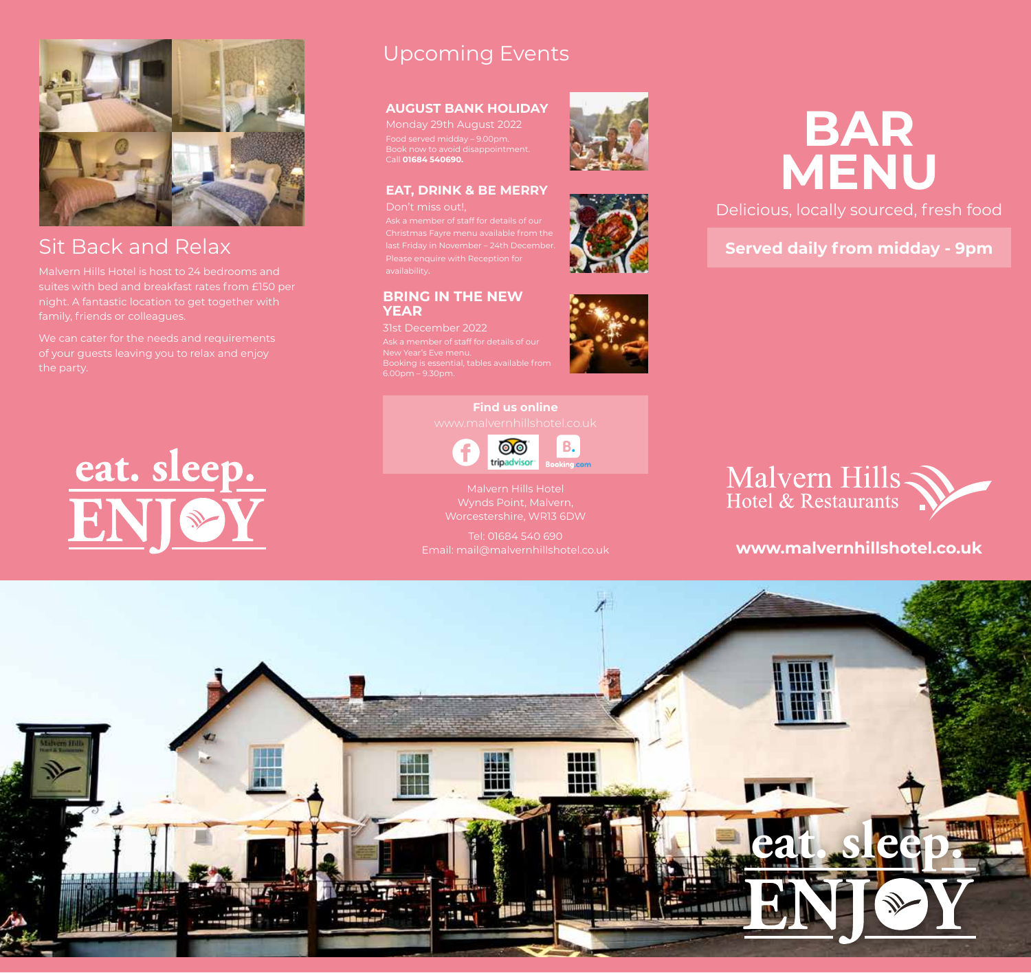

# Sit Back and Relax

night. A fantastic location to get together with family, friends or colleagues.

of your guests leaving you to relax and enjoy

# eat. sleep.

# Upcoming Events

### **AUGUST BANK HOLIDAY**

Monday 29th August 2022 Food served midday – 9.00pm. Book now to avoid disappointment. Call **01684 540690.**

**EAT, DRINK & BE MERRY**

last Friday in November – 24th December. Please enquire with Reception for

**BRING IN THE NEW** 

31st December 2022

New Year's Eve menu.

**YEAR** 





Delicious, locally sourced, fresh food

**Served daily from midday - 9pm**

**Find us online**



Malvern Hills Hotel Wynds Point, Malvern, Worcestershire, WR13 6DW

Email: mail@malvernhillshotel.co.uk



## **www.malvernhillshotel.co.uk**